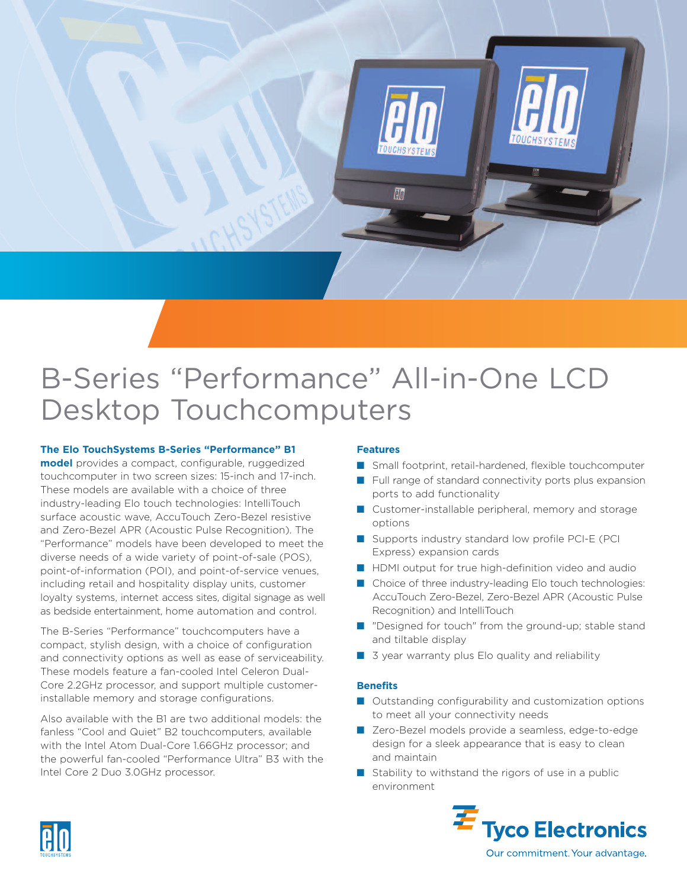

# B-Series "Performance" All-in-One LCD Desktop Touchcomputers

### **The Elo TouchSystems B-Series "Performance" B1**

**model** provides a compact, configurable, ruggedized touchcomputer in two screen sizes: 15-inch and 17-inch. These models are available with a choice of three industry-leading Elo touch technologies: IntelliTouch surface acoustic wave, AccuTouch Zero-Bezel resistive and Zero-Bezel APR (Acoustic Pulse Recognition). The "Performance" models have been developed to meet the diverse needs of a wide variety of point-of-sale (POS), point-of-information (POI), and point-of-service venues, including retail and hospitality display units, customer loyalty systems, internet access sites, digital signage as well as bedside entertainment, home automation and control.

The B-Series "Performance" touchcomputers have a compact, stylish design, with a choice of configuration and connectivity options as well as ease of serviceability. These models feature a fan-cooled Intel Celeron Dual-Core 2.2GHz processor, and support multiple customerinstallable memory and storage configurations.

Also available with the B1 are two additional models: the fanless "Cool and Quiet" B2 touchcomputers, available with the Intel Atom Dual-Core 1.66GHz processor; and the powerful fan-cooled "Performance Ultra" B3 with the Intel Core 2 Duo 3.0GHz processor.

### **Features**

- Small footprint, retail-hardened, flexible touchcomputer
- Full range of standard connectivity ports plus expansion ports to add functionality
- Customer-installable peripheral, memory and storage options
- Supports industry standard low profile PCI-E (PCI Express) expansion cards
- HDMI output for true high-definition video and audio
- Choice of three industry-leading Elo touch technologies: AccuTouch Zero-Bezel, Zero-Bezel APR (Acoustic Pulse Recognition) and IntelliTouch
- "Designed for touch" from the ground-up; stable stand and tiltable display
- 3 year warranty plus Elo quality and reliability

### **Benefits**

- Outstanding configurability and customization options to meet all your connectivity needs
- Zero-Bezel models provide a seamless, edge-to-edge design for a sleek appearance that is easy to clean and maintain
- Stability to withstand the rigors of use in a public environment